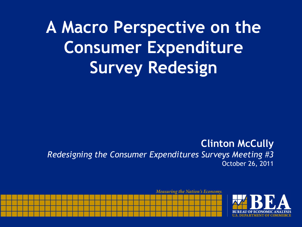**A Macro Perspective on the Consumer Expenditure Survey Redesign** 

#### **Clinton McCully**  *Redesigning the Consumer Expenditures Surveys Meeting #3*  October 26, 2011

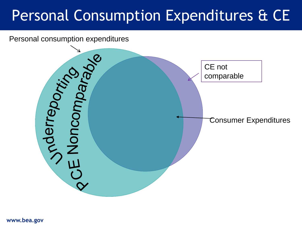### Personal Consumption Expenditures & CE

Personal consumption expenditures

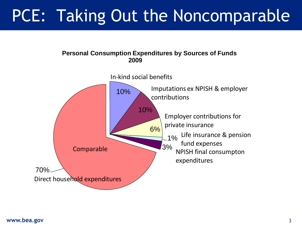### PCE: Taking Out the Noncomparable





#### **www.bea.gov** 3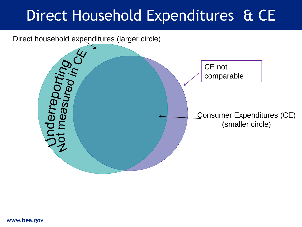### Direct Household Expenditures & CE

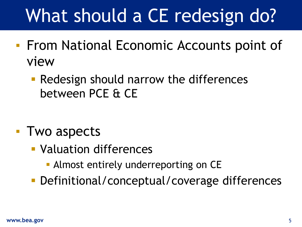# What should a CE redesign do?

- **From National Economic Accounts point of** view
	- **Redesign should narrow the differences** between PCE & CE

- Two aspects
	- Valuation differences
		- **Almost entirely underreporting on CE**
	- **Definitional/conceptual/coverage differences**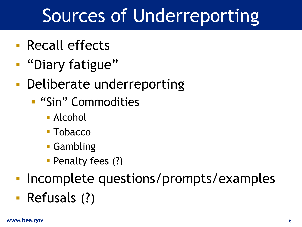# Sources of Underreporting

- Recall effects
- "Diary fatigue"
- Deliberate underreporting
	- **E** "Sin" Commodities
		- Alcohol
		- Tobacco
		- Gambling
		- **Penalty fees (?)**
- Incomplete questions/prompts/examples
- Refusals (?)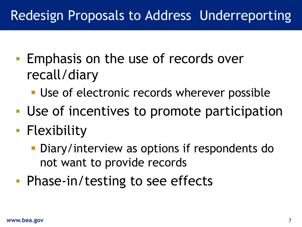### Redesign Proposals to Address Underreporting

- Emphasis on the use of records over recall/diary
	- **Use of electronic records wherever possible**
- Use of incentives to promote participation
- Flexibility
	- **Diary/interview as options if respondents do** not want to provide records
- Phase-in/testing to see effects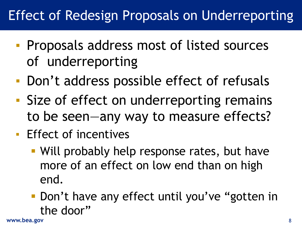### Effect of Redesign Proposals on Underreporting

- Proposals address most of listed sources of underreporting
- Don't address possible effect of refusals
- Size of effect on underreporting remains to be seen—any way to measure effects?
- Effect of incentives
	- Will probably help response rates, but have more of an effect on low end than on high end.
	- **Don't have any effect until you've "gotten in** the door"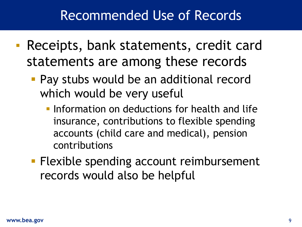### Recommended Use of Records

- Receipts, bank statements, credit card statements are among these records
	- Pay stubs would be an additional record which would be very useful
		- **Information on deductions for health and life** insurance, contributions to flexible spending accounts (child care and medical), pension contributions
	- **Flexible spending account reimbursement** records would also be helpful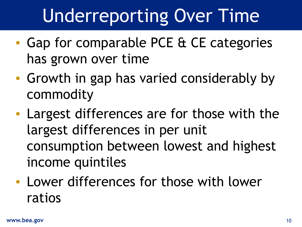# Underreporting Over Time

- Gap for comparable PCE & CE categories has grown over time
- Growth in gap has varied considerably by commodity
- **Largest differences are for those with the** largest differences in per unit consumption between lowest and highest income quintiles
- Lower differences for those with lower ratios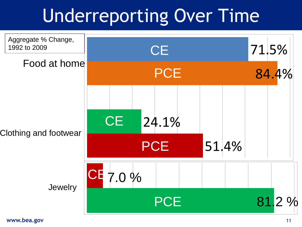# Underreporting Over Time

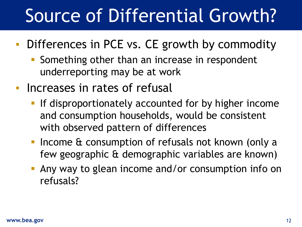# Source of Differential Growth?

- **Differences in PCE vs. CE growth by commodity** 
	- **Something other than an increase in respondent** underreporting may be at work
- Increases in rates of refusal
	- **If disproportionately accounted for by higher income** and consumption households, would be consistent with observed pattern of differences
	- **Income & consumption of refusals not known (only a** few geographic & demographic variables are known)
	- **Any way to glean income and/or consumption info on** refusals?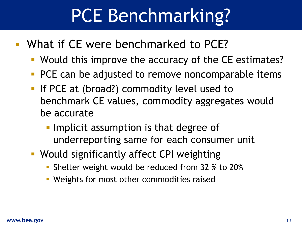# PCE Benchmarking?

- What if CE were benchmarked to PCE?
	- **Would this improve the accuracy of the CE estimates?**
	- **PCE can be adjusted to remove noncomparable items**
	- **If PCE at (broad?) commodity level used to** benchmark CE values, commodity aggregates would be accurate
		- **Implicit assumption is that degree of** underreporting same for each consumer unit
	- Would significantly affect CPI weighting
		- **Shelter weight would be reduced from 32 % to 20%**
		- **Weights for most other commodities raised**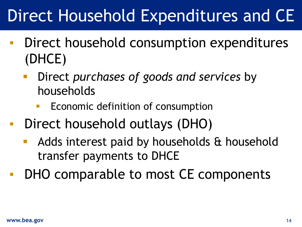## Direct Household Expenditures and CE

- Direct household consumption expenditures (DHCE)
	- Direct *purchases of goods and services* by households
		- Economic definition of consumption
- Direct household outlays (DHO)
	- **Adds interest paid by households & household** transfer payments to DHCE
- DHO comparable to most CE components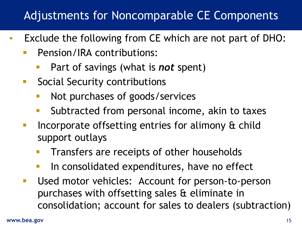### Adjustments for Noncomparable CE Components

- Exclude the following from CE which are not part of DHO:
	- **Pension/IRA contributions:** 
		- Part of savings (what is *not* spent)
	- **Social Security contributions** 
		- Not purchases of goods/services
		- Subtracted from personal income, akin to taxes
	- **Incorporate offsetting entries for alimony & child** support outlays
		- Transfers are receipts of other households
		- In consolidated expenditures, have no effect
	- **Used motor vehicles: Account for person-to-person** purchases with offsetting sales & eliminate in consolidation; account for sales to dealers (subtraction)